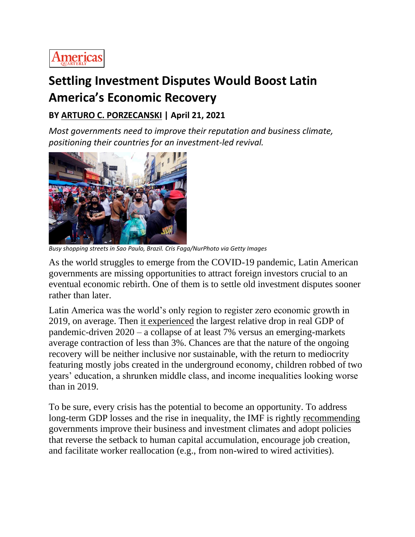

## **Settling Investment Disputes Would Boost Latin America's Economic Recovery**

## **BY [ARTURO C. PORZECANSKI](https://www.americasquarterly.org/content/arturo-porzecanski) | April 21, 2021**

*Most governments need to improve their reputation and business climate, positioning their countries for an investment-led revival.*



*Busy shopping streets in Sao Paulo, Brazil. Cris Faga/NurPhoto via Getty Images*

As the world struggles to emerge from the COVID-19 pandemic, Latin American governments are missing opportunities to attract foreign investors crucial to an eventual economic rebirth. One of them is to settle old investment disputes sooner rather than later.

Latin America was the world's only region to register zero economic growth in 2019, on average. Then [it experienced](https://www.imf.org/-/media/Files/Publications/WEO/2021/April/English/Ch1.ashx) the largest relative drop in real GDP of pandemic-driven 2020 – a collapse of at least 7% versus an emerging-markets average contraction of less than 3%. Chances are that the nature of the ongoing recovery will be neither inclusive nor sustainable, with the return to mediocrity featuring mostly jobs created in the underground economy, children robbed of two years' education, a shrunken middle class, and income inequalities looking worse than in 2019.

To be sure, every crisis has the potential to become an opportunity. To address long-term GDP losses and the rise in inequality, the IMF is rightly [recommending](https://www.imf.org/-/media/Files/Publications/WEO/2021/April/English/Ch1.ashx) governments improve their business and investment climates and adopt policies that reverse the setback to human capital accumulation, encourage job creation, and facilitate worker reallocation (e.g., from non-wired to wired activities).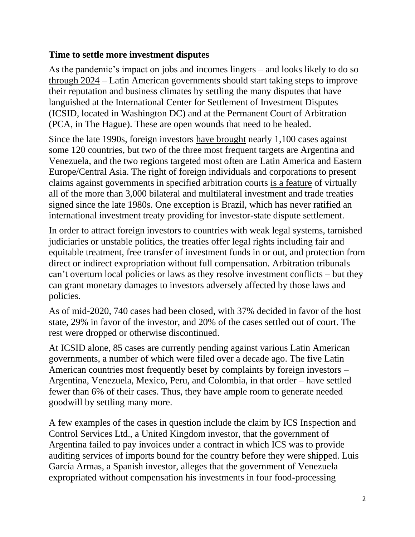## **Time to settle more investment disputes**

As the pandemic's impact on jobs and incomes lingers – [and looks likely to do so](https://blogs.imf.org/2021/04/15/short-term-shot-and-long-term-healing-for-latin-america-and-the-caribbean/)  [through](https://blogs.imf.org/2021/04/15/short-term-shot-and-long-term-healing-for-latin-america-and-the-caribbean/) 2024 – Latin American governments should start taking steps to improve their reputation and business climates by settling the many disputes that have languished at the International Center for Settlement of Investment Disputes (ICSID, located in Washington DC) and at the Permanent Court of Arbitration (PCA, in The Hague). These are open wounds that need to be healed.

Since the late 1990s, foreign investors [have brought](https://investmentpolicy.unctad.org/uploaded-files/document/UNCTAD-ISDS-Navigator-data-set-31July2020.xlsx) nearly 1,100 cases against some 120 countries, but two of the three most frequent targets are Argentina and Venezuela, and the two regions targeted most often are Latin America and Eastern Europe/Central Asia. The right of foreign individuals and corporations to present claims against governments in specified arbitration courts [is a feature](https://unctad.org/system/files/official-document/diaepcbinf2021d3_en.pdf) of virtually all of the more than 3,000 bilateral and multilateral investment and trade treaties signed since the late 1980s. One exception is Brazil, which has never ratified an international investment treaty providing for investor-state dispute settlement.

In order to attract foreign investors to countries with weak legal systems, tarnished judiciaries or unstable politics, the treaties offer legal rights including fair and equitable treatment, free transfer of investment funds in or out, and protection from direct or indirect expropriation without full compensation. Arbitration tribunals can't overturn local policies or laws as they resolve investment conflicts – but they can grant monetary damages to investors adversely affected by those laws and policies.

As of mid-2020, 740 cases had been closed, with 37% decided in favor of the host state, 29% in favor of the investor, and 20% of the cases settled out of court. The rest were dropped or otherwise discontinued.

At ICSID alone, 85 cases are currently pending against various Latin American governments, a number of which were filed over a decade ago. The five Latin American countries most frequently beset by complaints by foreign investors – Argentina, Venezuela, Mexico, Peru, and Colombia, in that order – have settled fewer than 6% of their cases. Thus, they have ample room to generate needed goodwill by settling many more.

A few examples of the cases in question include the claim by ICS Inspection and Control Services Ltd., a United Kingdom investor, that the government of Argentina failed to pay invoices under a contract in which ICS was to provide auditing services of imports bound for the country before they were shipped. Luis García Armas, a Spanish investor, alleges that the government of Venezuela expropriated without compensation his investments in four food-processing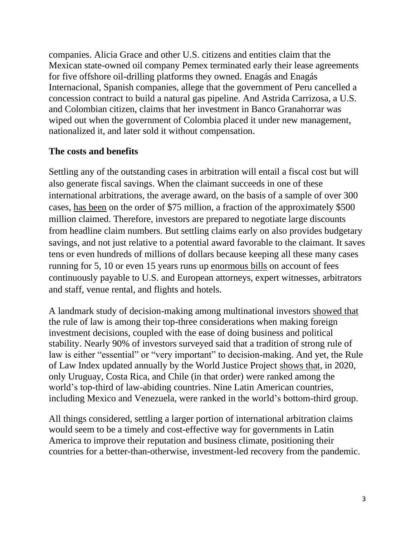companies. Alicia Grace and other U.S. citizens and entities claim that the Mexican state-owned oil company Pemex terminated early their lease agreements for five offshore oil-drilling platforms they owned. Enagás and Enagás Internacional, Spanish companies, allege that the government of Peru cancelled a concession contract to build a natural gas pipeline. And Astrida Carrizosa, a U.S. and Colombian citizen, claims that her investment in Banco Granahorrar was wiped out when the government of Colombia placed it under new management, nationalized it, and later sold it without compensation.

## **The costs and benefits**

Settling any of the outstanding cases in arbitration will entail a fiscal cost but will also generate fiscal savings. When the claimant succeeds in one of these international arbitrations, the average award, on the basis of a sample of over 300 cases, has [been](https://www.allenovery.com/en-gb/global/news-and-insights/publications/investment-treaty-arbitration-cost-duration-and-size-of-claims-all-show-steady-increase) on the order of \$75 million, a fraction of the approximately \$500 million claimed. Therefore, investors are prepared to negotiate large discounts from headline claim numbers. But settling claims early on also provides budgetary savings, and not just relative to a potential award favorable to the claimant. It saves tens or even hundreds of millions of dollars because keeping all these many cases running for 5, 10 or even 15 years runs up [enormous](https://www.acerislaw.com/how-to-reduce-the-overall-cost-of-investment-treaty-arbitration-to-less-than-usd-1-million/) bills on account of fees continuously payable to U.S. and European attorneys, expert witnesses, arbitrators and staff, venue rental, and flights and hotels.

A landmark study of decision-making among multinational investors [showed that](https://www.biicl.org/documents/625_d4_fdi_main_report.pdf?showdocument=1) the rule of law is among their top-three considerations when making foreign investment decisions, coupled with the ease of doing business and political stability. Nearly 90% of investors surveyed said that a tradition of strong rule of law is either "essential" or "very important" to decision-making. And yet, the Rule of Law Index updated annually by the World Justice Project [shows that,](https://worldjusticeproject.org/rule-of-law-index/global) in 2020, only Uruguay, Costa Rica, and Chile (in that order) were ranked among the world's top-third of law-abiding countries. Nine Latin American countries, including Mexico and Venezuela, were ranked in the world's bottom-third group.

All things considered, settling a larger portion of international arbitration claims would seem to be a timely and cost-effective way for governments in Latin America to improve their reputation and business climate, positioning their countries for a better-than-otherwise, investment-led recovery from the pandemic.